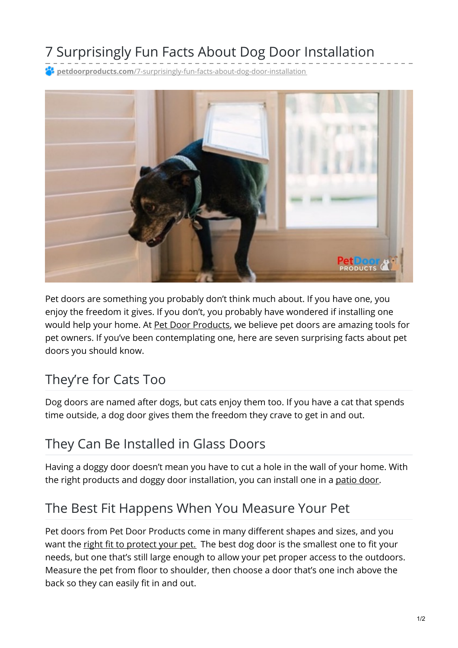# 7 Surprisingly Fun Facts About Dog Door Installation

**petdoorproducts.com**[/7-surprisingly-fun-facts-about-dog-door-installation](https://petdoorproducts.com/7-surprisingly-fun-facts-about-dog-door-installation/)



Pet doors are something you probably don't think much about. If you have one, you enjoy the freedom it gives. If you don't, you probably have wondered if installing one would help your home. At Pet Door [Products](https://petdoorproducts.com/why-choose-us/), we believe pet doors are amazing tools for pet owners. If you've been contemplating one, here are seven surprising facts about pet doors you should know.

#### They're for Cats Too

Dog doors are named after dogs, but cats enjoy them too. If you have a cat that spends time outside, a dog door gives them the freedom they crave to get in and out.

## They Can Be Installed in Glass Doors

Having a doggy door doesn't mean you have to cut a hole in the wall of your home. With the right products and doggy door installation, you can install one in a [patio](https://petdoorproducts.com/how-it-works/) door.

## The Best Fit Happens When You Measure Your Pet

Pet doors from Pet Door Products come in many different shapes and sizes, and you want the right fit to [protect](https://petdoorproducts.com/how-to-measure-your-cat-or-dog-for-a-pet-door/) your pet. The best dog door is the smallest one to fit your needs, but one that's still large enough to allow your pet proper access to the outdoors. Measure the pet from floor to shoulder, then choose a door that's one inch above the back so they can easily fit in and out.